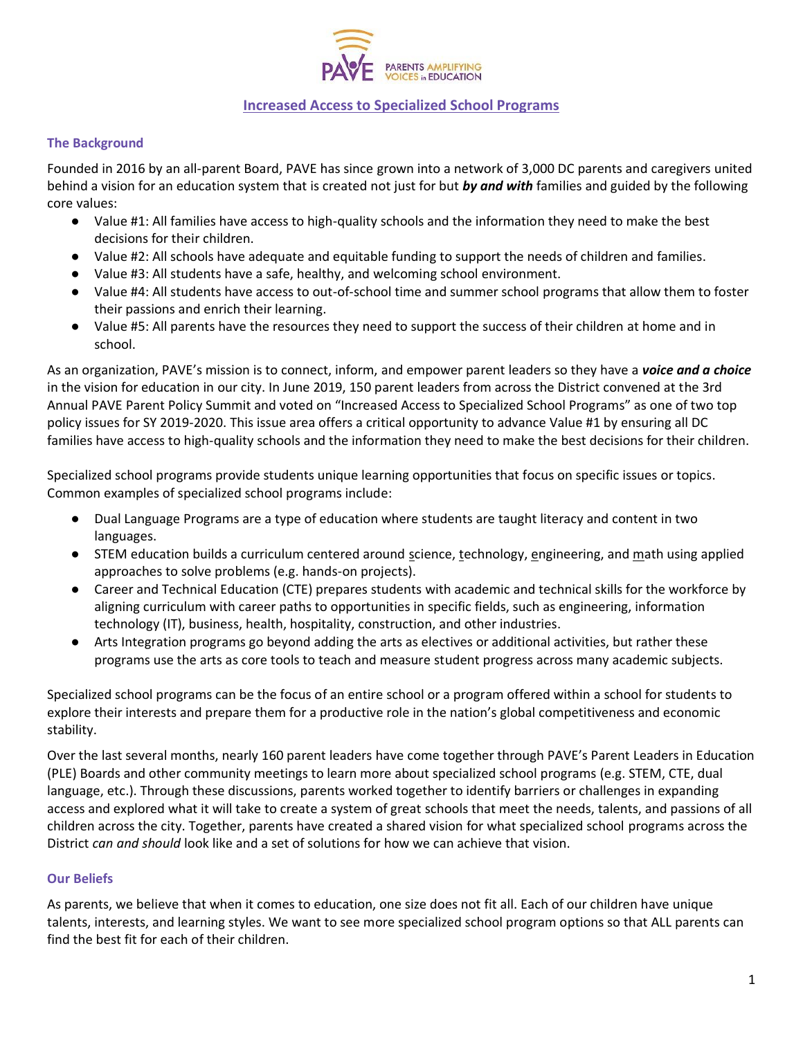

## **Increased Access to Specialized School Programs**

#### **The Background**

Founded in 2016 by an all-parent Board, PAVE has since grown into a network of 3,000 DC parents and caregivers united behind a vision for an education system that is created not just for but *by and with* families and guided by the following core values:

- Value #1: All families have access to high-quality schools and the information they need to make the best decisions for their children.
- Value #2: All schools have adequate and equitable funding to support the needs of children and families.
- Value #3: All students have a safe, healthy, and welcoming school environment.
- Value #4: All students have access to out-of-school time and summer school programs that allow them to foster their passions and enrich their learning.
- Value #5: All parents have the resources they need to support the success of their children at home and in school.

As an organization, PAVE's mission is to connect, inform, and empower parent leaders so they have a *voice and a choice*  in the vision for education in our city. In June 2019, 150 parent leaders from across the District convened at the 3rd Annual PAVE Parent Policy Summit and voted on "Increased Access to Specialized School Programs" as one of two top policy issues for SY 2019-2020. This issue area offers a critical opportunity to advance Value #1 by ensuring all DC families have access to high-quality schools and the information they need to make the best decisions for their children.

Specialized school programs provide students unique learning opportunities that focus on specific issues or topics. Common examples of specialized school programs include:

- Dual Language Programs are a type of education where students are taught literacy and content in two languages.
- STEM education builds a curriculum centered around science, technology, engineering, and math using applied approaches to solve problems (e.g. hands-on projects).
- Career and Technical Education (CTE) prepares students with academic and technical skills for the workforce by aligning curriculum with career paths to opportunities in specific fields, such as engineering, information technology (IT), business, health, hospitality, construction, and other industries.
- Arts Integration programs go beyond adding the arts as electives or additional activities, but rather these programs use the arts as core tools to teach and measure student progress across many academic subjects.

Specialized school programs can be the focus of an entire school or a program offered within a school for students to explore their interests and prepare them for a productive role in the nation's global competitiveness and economic stability.

Over the last several months, nearly 160 parent leaders have come together through PAVE's Parent Leaders in Education (PLE) Boards and other community meetings to learn more about specialized school programs (e.g. STEM, CTE, dual language, etc.). Through these discussions, parents worked together to identify barriers or challenges in expanding access and explored what it will take to create a system of great schools that meet the needs, talents, and passions of all children across the city. Together, parents have created a shared vision for what specialized school programs across the District *can and should* look like and a set of solutions for how we can achieve that vision.

#### **Our Beliefs**

As parents, we believe that when it comes to education, one size does not fit all. Each of our children have unique talents, interests, and learning styles. We want to see more specialized school program options so that ALL parents can find the best fit for each of their children.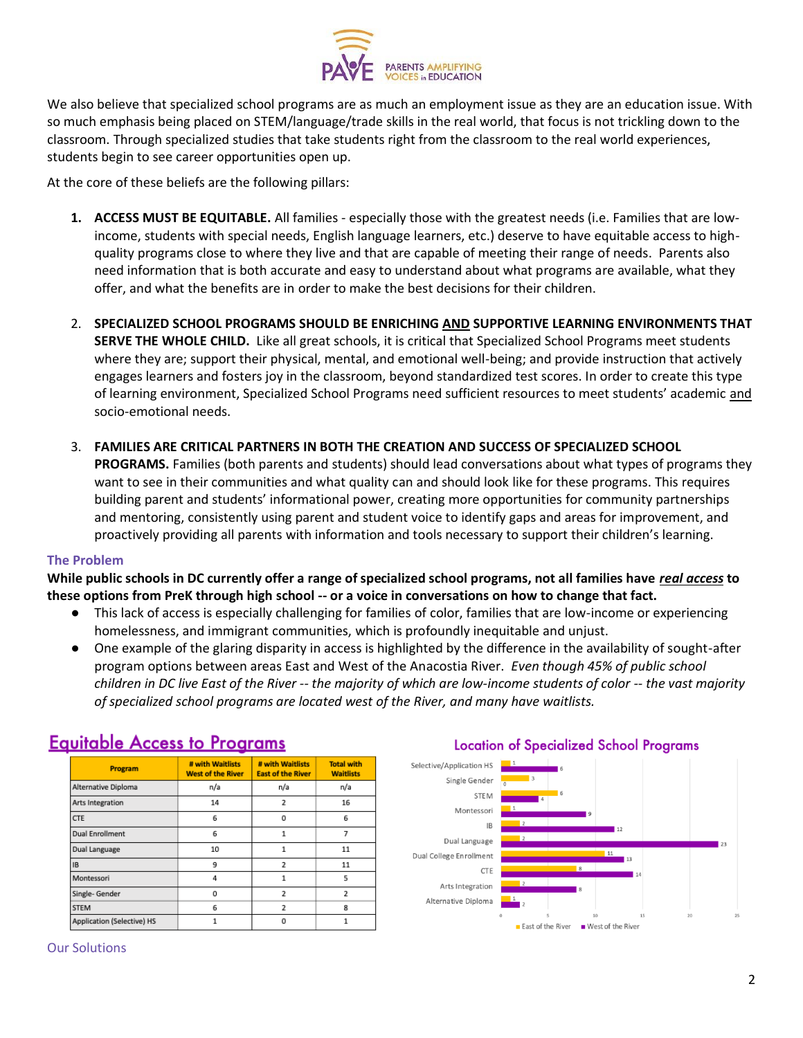

We also believe that specialized school programs are as much an employment issue as they are an education issue. With so much emphasis being placed on STEM/language/trade skills in the real world, that focus is not trickling down to the classroom. Through specialized studies that take students right from the classroom to the real world experiences, students begin to see career opportunities open up.

At the core of these beliefs are the following pillars:

- **1. ACCESS MUST BE EQUITABLE.** All families especially those with the greatest needs (i.e. Families that are lowincome, students with special needs, English language learners, etc.) deserve to have equitable access to highquality programs close to where they live and that are capable of meeting their range of needs. Parents also need information that is both accurate and easy to understand about what programs are available, what they offer, and what the benefits are in order to make the best decisions for their children.
- 2. **SPECIALIZED SCHOOL PROGRAMS SHOULD BE ENRICHING AND SUPPORTIVE LEARNING ENVIRONMENTS THAT SERVE THE WHOLE CHILD.** Like all great schools, it is critical that Specialized School Programs meet students where they are; support their physical, mental, and emotional well-being; and provide instruction that actively engages learners and fosters joy in the classroom, beyond standardized test scores. In order to create this type of learning environment, Specialized School Programs need sufficient resources to meet students' academic and socio-emotional needs.
- 3. **FAMILIES ARE CRITICAL PARTNERS IN BOTH THE CREATION AND SUCCESS OF SPECIALIZED SCHOOL PROGRAMS.** Families (both parents and students) should lead conversations about what types of programs they want to see in their communities and what quality can and should look like for these programs. This requires building parent and students' informational power, creating more opportunities for community partnerships and mentoring, consistently using parent and student voice to identify gaps and areas for improvement, and proactively providing all parents with information and tools necessary to support their children's learning.

#### **The Problem**

**While public schools in DC currently offer a range of specialized school programs, not all families have** *real access* **to these options from PreK through high school -- or a voice in conversations on how to change that fact.** 

- This lack of access is especially challenging for families of color, families that are low-income or experiencing homelessness, and immigrant communities, which is profoundly inequitable and unjust.
- One example of the glaring disparity in access is highlighted by the difference in the availability of sought-after program options between areas East and West of the Anacostia River. *Even though 45% of public school children in DC live East of the River -- the majority of which are low-income students of color -- the vast majority of specialized school programs are located west of the River, and many have waitlists.*

| # with Waitlists         |                                              |                                       |
|--------------------------|----------------------------------------------|---------------------------------------|
| <b>West of the River</b> | # with Waitlists<br><b>East of the River</b> | <b>Total with</b><br><b>Waitlists</b> |
| n/a                      | n/a                                          | n/a                                   |
| 14                       | $\overline{a}$                               | 16                                    |
| 6                        | 0                                            | 6                                     |
| 6                        | 1                                            | 7                                     |
| 10                       | 1                                            | 11                                    |
| 9                        | $\overline{2}$                               | 11                                    |
| 4                        | 1                                            | 5                                     |
| 0                        | $\overline{a}$                               | $\overline{2}$                        |
| 6                        | $\overline{2}$                               | 8                                     |
|                          | 0                                            |                                       |
|                          |                                              |                                       |

# **Equitable Access to Programs**

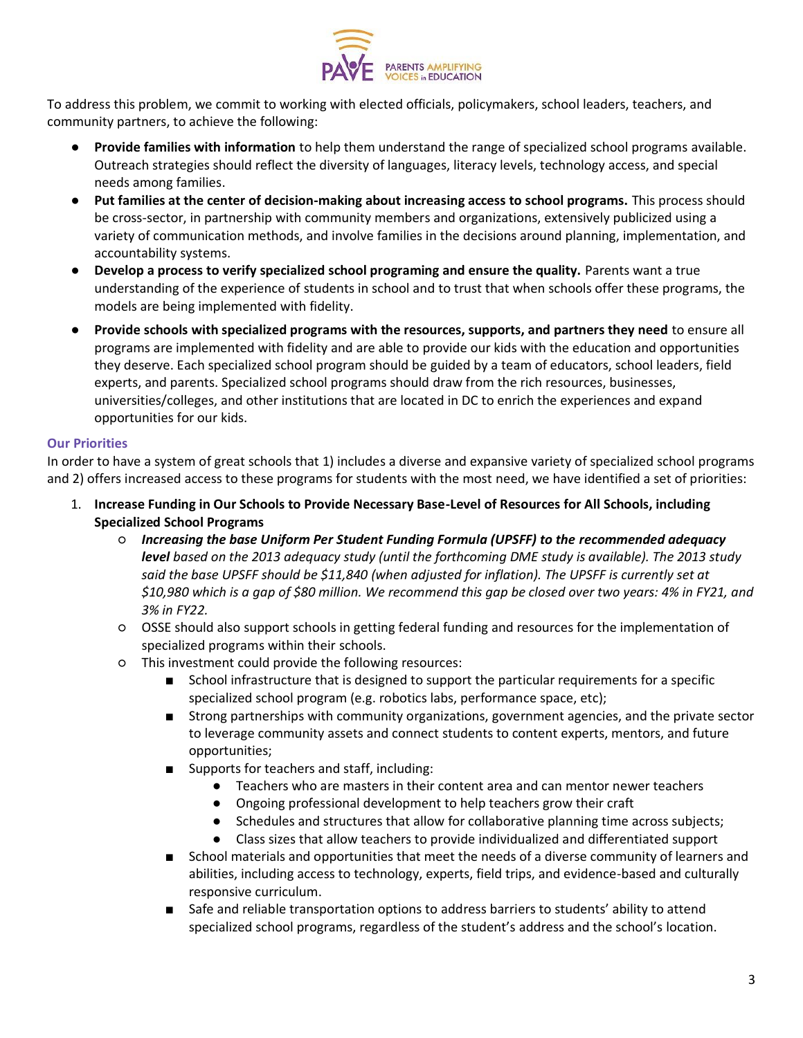

To address this problem, we commit to working with elected officials, policymakers, school leaders, teachers, and community partners, to achieve the following:

- **Provide families with information** to help them understand the range of specialized school programs available. Outreach strategies should reflect the diversity of languages, literacy levels, technology access, and special needs among families.
- **Put families at the center of decision-making about increasing access to school programs.** This process should be cross-sector, in partnership with community members and organizations, extensively publicized using a variety of communication methods, and involve families in the decisions around planning, implementation, and accountability systems.
- **Develop a process to verify specialized school programing and ensure the quality.** Parents want a true understanding of the experience of students in school and to trust that when schools offer these programs, the models are being implemented with fidelity.
- **Provide schools with specialized programs with the resources, supports, and partners they need** to ensure all programs are implemented with fidelity and are able to provide our kids with the education and opportunities they deserve. Each specialized school program should be guided by a team of educators, school leaders, field experts, and parents. Specialized school programs should draw from the rich resources, businesses, universities/colleges, and other institutions that are located in DC to enrich the experiences and expand opportunities for our kids.

#### **Our Priorities**

In order to have a system of great schools that 1) includes a diverse and expansive variety of specialized school programs and 2) offers increased access to these programs for students with the most need, we have identified a set of priorities:

- 1. **Increase Funding in Our Schools to Provide Necessary Base-Level of Resources for All Schools, including Specialized School Programs**
	- *Increasing the base Uniform Per Student Funding Formula (UPSFF) to the recommended adequacy level based on the 2013 adequacy study (until the forthcoming DME study is available). The 2013 study*  said the base UPSFF should be \$11,840 (when adjusted for inflation). The UPSFF is currently set at *\$10,980 which is a gap of \$80 million. We recommend this gap be closed over two years: 4% in FY21, and 3% in FY22.*
	- OSSE should also support schools in getting federal funding and resources for the implementation of specialized programs within their schools.
	- This investment could provide the following resources:
		- School infrastructure that is designed to support the particular requirements for a specific specialized school program (e.g. robotics labs, performance space, etc);
		- Strong partnerships with community organizations, government agencies, and the private sector to leverage community assets and connect students to content experts, mentors, and future opportunities;
		- Supports for teachers and staff, including:
			- Teachers who are masters in their content area and can mentor newer teachers
			- Ongoing professional development to help teachers grow their craft
			- Schedules and structures that allow for collaborative planning time across subjects;
			- Class sizes that allow teachers to provide individualized and differentiated support
		- School materials and opportunities that meet the needs of a diverse community of learners and abilities, including access to technology, experts, field trips, and evidence-based and culturally responsive curriculum.
		- Safe and reliable transportation options to address barriers to students' ability to attend specialized school programs, regardless of the student's address and the school's location.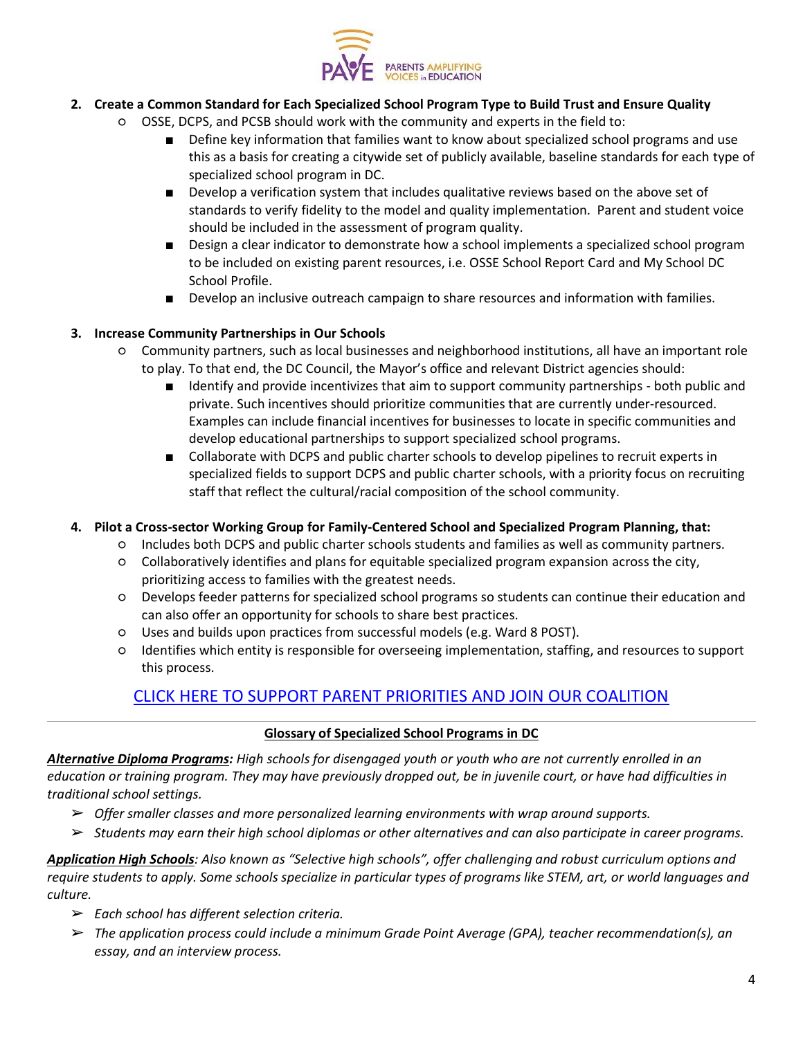

- **2. Create a Common Standard for Each Specialized School Program Type to Build Trust and Ensure Quality**
	- OSSE, DCPS, and PCSB should work with the community and experts in the field to:
		- Define key information that families want to know about specialized school programs and use this as a basis for creating a citywide set of publicly available, baseline standards for each type of specialized school program in DC.
		- Develop a verification system that includes qualitative reviews based on the above set of standards to verify fidelity to the model and quality implementation. Parent and student voice should be included in the assessment of program quality.
		- Design a clear indicator to demonstrate how a school implements a specialized school program to be included on existing parent resources, i.e. OSSE School Report Card and My School DC School Profile.
		- Develop an inclusive outreach campaign to share resources and information with families.

#### **3. Increase Community Partnerships in Our Schools**

- Community partners, such as local businesses and neighborhood institutions, all have an important role to play. To that end, the DC Council, the Mayor's office and relevant District agencies should:
	- Identify and provide incentivizes that aim to support community partnerships both public and private. Such incentives should prioritize communities that are currently under-resourced. Examples can include financial incentives for businesses to locate in specific communities and develop educational partnerships to support specialized school programs.
	- Collaborate with DCPS and public charter schools to develop pipelines to recruit experts in specialized fields to support DCPS and public charter schools, with a priority focus on recruiting staff that reflect the cultural/racial composition of the school community.

### **4. Pilot a Cross-sector Working Group for Family-Centered School and Specialized Program Planning, that:**

- Includes both DCPS and public charter schools students and families as well as community partners.
- Collaboratively identifies and plans for equitable specialized program expansion across the city, prioritizing access to families with the greatest needs.
- Develops feeder patterns for specialized school programs so students can continue their education and can also offer an opportunity for schools to share best practices.
- Uses and builds upon practices from successful models (e.g. Ward 8 POST).
- Identifies which entity is responsible for overseeing implementation, staffing, and resources to support this process.

# [CLICK HERE TO SUPPORT PARENT PRIORITIES AND JOIN OUR COALITION](https://form.jotform.com/193525336563967)

### **Glossary of Specialized School Programs in DC**

*Alternative Diploma Programs: High schools for disengaged youth or youth who are not currently enrolled in an education or training program. They may have previously dropped out, be in juvenile court, or have had difficulties in traditional school settings.*

- ➢ *Offer smaller classes and more personalized learning environments with wrap around supports.*
- ➢ *Students may earn their high school diplomas or other alternatives and can also participate in career programs.*

Application High Schools: Also known as "Selective high schools", offer challenging and robust curriculum options and *require students to apply. Some schools specialize in particular types of programs like STEM, art, or world languages and culture.*

- ➢ *Each school has different selection criteria.*
- ➢ *The application process could include a minimum Grade Point Average (GPA), teacher recommendation(s), an essay, and an interview process.*